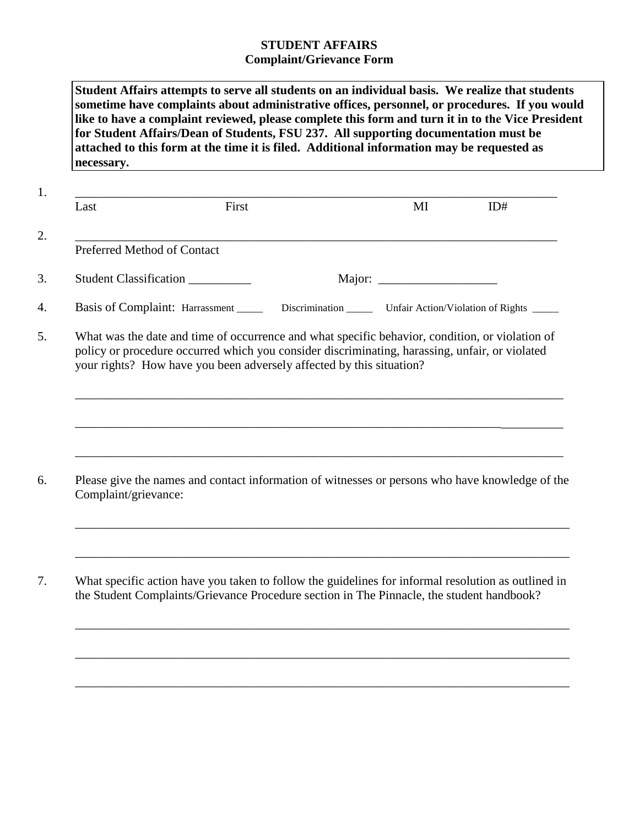## **STUDENT AFFAIRS Complaint/Grievance Form**

**Student Affairs attempts to serve all students on an individual basis. We realize that students sometime have complaints about administrative offices, personnel, or procedures. If you would like to have a complaint reviewed, please complete this form and turn it in to the Vice President for Student Affairs/Dean of Students, FSU 237. All supporting documentation must be attached to this form at the time it is filed. Additional information may be requested as necessary.**

| Last                        | First                                                                                                                                                                                                                                                                     | MI | ID# |
|-----------------------------|---------------------------------------------------------------------------------------------------------------------------------------------------------------------------------------------------------------------------------------------------------------------------|----|-----|
| Preferred Method of Contact |                                                                                                                                                                                                                                                                           |    |     |
|                             | Student Classification                                                                                                                                                                                                                                                    |    |     |
|                             | Basis of Complaint: Harrassment ______ Discrimination ______ Unfair Action/Violation of Rights ____                                                                                                                                                                       |    |     |
|                             | What was the date and time of occurrence and what specific behavior, condition, or violation of<br>policy or procedure occurred which you consider discriminating, harassing, unfair, or violated<br>your rights? How have you been adversely affected by this situation? |    |     |
|                             |                                                                                                                                                                                                                                                                           |    |     |
|                             |                                                                                                                                                                                                                                                                           |    |     |
| Complaint/grievance:        | Please give the names and contact information of witnesses or persons who have knowledge of the                                                                                                                                                                           |    |     |

\_\_\_\_\_\_\_\_\_\_\_\_\_\_\_\_\_\_\_\_\_\_\_\_\_\_\_\_\_\_\_\_\_\_\_\_\_\_\_\_\_\_\_\_\_\_\_\_\_\_\_\_\_\_\_\_\_\_\_\_\_\_\_\_\_\_\_\_\_\_\_\_\_\_\_\_\_\_\_